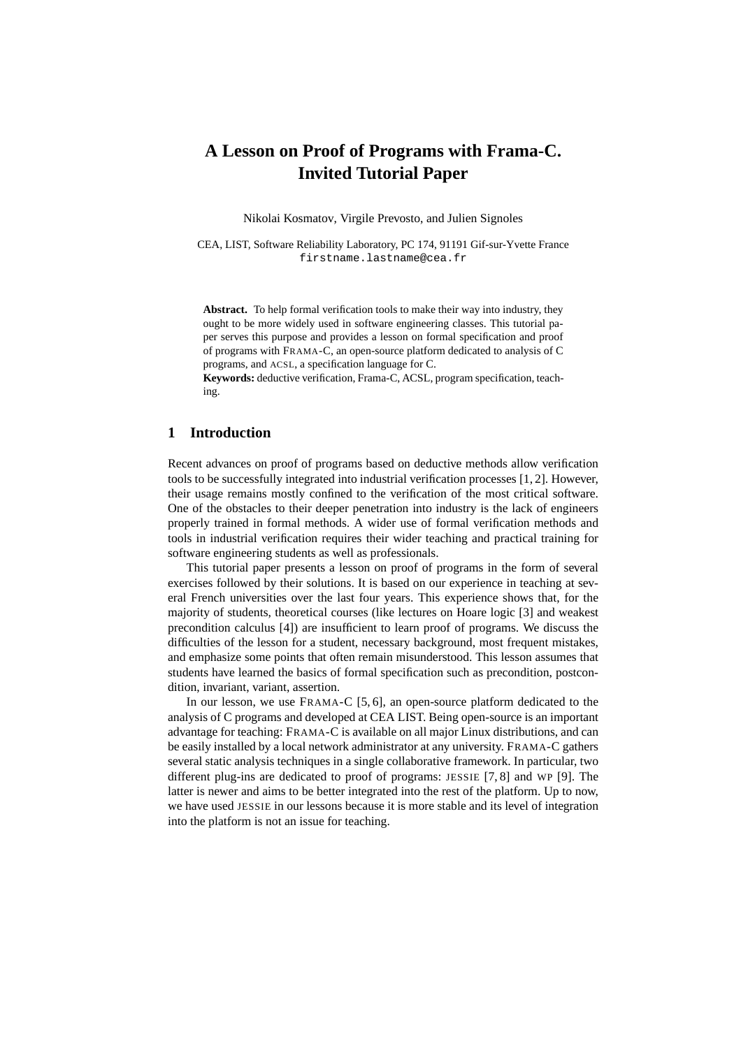# **A Lesson on Proof of Programs with Frama-C. Invited Tutorial Paper**

Nikolai Kosmatov, Virgile Prevosto, and Julien Signoles

CEA, LIST, Software Reliability Laboratory, PC 174, 91191 Gif-sur-Yvette France firstname.lastname@cea.fr

**Abstract.** To help formal verification tools to make their way into industry, they ought to be more widely used in software engineering classes. This tutorial paper serves this purpose and provides a lesson on formal specification and proof of programs with FRAMA-C, an open-source platform dedicated to analysis of C programs, and ACSL, a specification language for C.

**Keywords:** deductive verification, Frama-C, ACSL, program specification, teaching.

# **1 Introduction**

Recent advances on proof of programs based on deductive methods allow verification tools to be successfully integrated into industrial verification processes [1, 2]. However, their usage remains mostly confined to the verification of the most critical software. One of the obstacles to their deeper penetration into industry is the lack of engineers properly trained in formal methods. A wider use of formal verification methods and tools in industrial verification requires their wider teaching and practical training for software engineering students as well as professionals.

This tutorial paper presents a lesson on proof of programs in the form of several exercises followed by their solutions. It is based on our experience in teaching at several French universities over the last four years. This experience shows that, for the majority of students, theoretical courses (like lectures on Hoare logic [3] and weakest precondition calculus [4]) are insufficient to learn proof of programs. We discuss the difficulties of the lesson for a student, necessary background, most frequent mistakes, and emphasize some points that often remain misunderstood. This lesson assumes that students have learned the basics of formal specification such as precondition, postcondition, invariant, variant, assertion.

In our lesson, we use FRAMA-C [5, 6], an open-source platform dedicated to the analysis of C programs and developed at CEA LIST. Being open-source is an important advantage for teaching: FRAMA-C is available on all major Linux distributions, and can be easily installed by a local network administrator at any university. FRAMA-C gathers several static analysis techniques in a single collaborative framework. In particular, two different plug-ins are dedicated to proof of programs: JESSIE [7, 8] and WP [9]. The latter is newer and aims to be better integrated into the rest of the platform. Up to now, we have used JESSIE in our lessons because it is more stable and its level of integration into the platform is not an issue for teaching.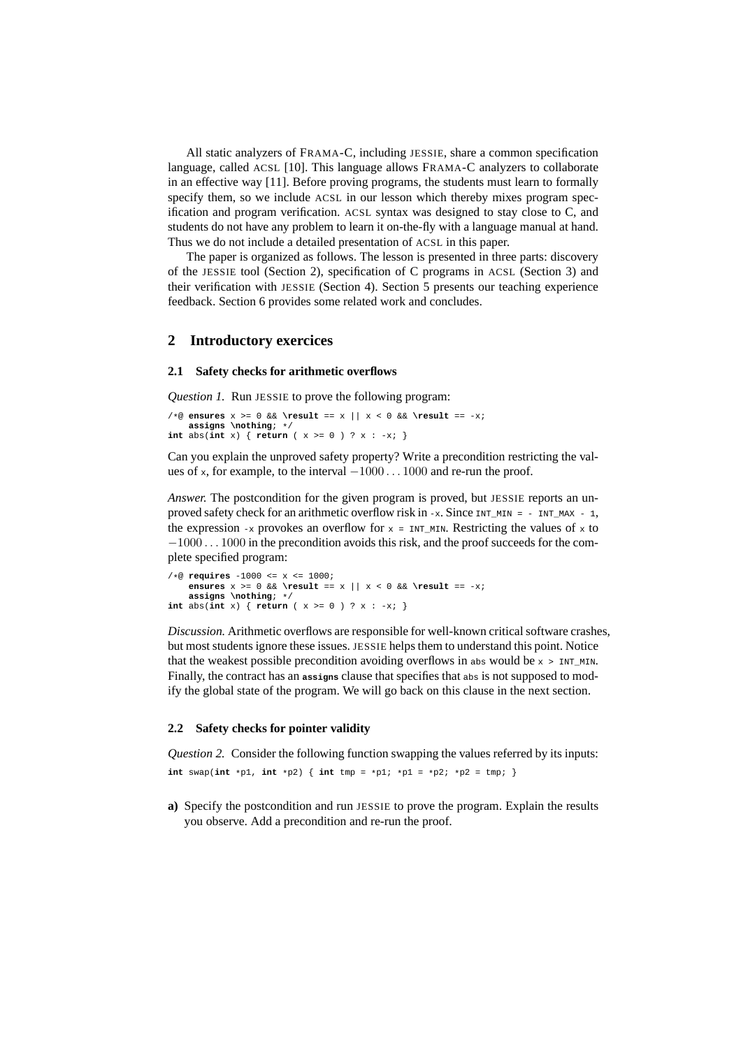All static analyzers of FRAMA-C, including JESSIE, share a common specification language, called ACSL [10]. This language allows FRAMA-C analyzers to collaborate in an effective way [11]. Before proving programs, the students must learn to formally specify them, so we include ACSL in our lesson which thereby mixes program specification and program verification. ACSL syntax was designed to stay close to C, and students do not have any problem to learn it on-the-fly with a language manual at hand. Thus we do not include a detailed presentation of ACSL in this paper.

The paper is organized as follows. The lesson is presented in three parts: discovery of the JESSIE tool (Section 2), specification of C programs in ACSL (Section 3) and their verification with JESSIE (Section 4). Section 5 presents our teaching experience feedback. Section 6 provides some related work and concludes.

## **2 Introductory exercices**

#### **2.1 Safety checks for arithmetic overflows**

*Question 1.* Run JESSIE to prove the following program:

/\*@ **ensures** x >= 0 && **\result** == x || x < 0 && **\result** == -x; **assigns \nothing**; \*/ **int** abs(**int** x) { **return** ( x >= 0 ) ? x : -x; }

Can you explain the unproved safety property? Write a precondition restricting the values of x, for example, to the interval  $-1000...1000$  and re-run the proof.

*Answer.* The postcondition for the given program is proved, but JESSIE reports an unproved safety check for an arithmetic overflow risk in  $-x$ . Since  $INT\_MIN = -INT\_MAX - 1$ , the expression  $-x$  provokes an overflow for  $x = INT$  MIN. Restricting the values of x to  $-1000...1000$  in the precondition avoids this risk, and the proof succeeds for the complete specified program:

```
/*@ requires -1000 <= x <= 1000;
    ensures x >= 0 && \result == x || x < 0 && \result == -x;
    assigns \nothing; */
int abs(int x) { return ( x >= 0 ) ? x : -x; }
```
*Discussion.* Arithmetic overflows are responsible for well-known critical software crashes, but most students ignore these issues. JESSIE helps them to understand this point. Notice that the weakest possible precondition avoiding overflows in abs would be  $x > INT_MIN$ . Finally, the contract has an **assigns** clause that specifies that abs is not supposed to modify the global state of the program. We will go back on this clause in the next section.

#### **2.2 Safety checks for pointer validity**

*Question 2.* Consider the following function swapping the values referred by its inputs:

**int** swap( $\text{int } *p1$ ,  $\text{int } *p2$ ) {  $\text{int } \text{tmp} = *p1$ ;  $*p1 = *p2$ ;  $*p2 = \text{tmp}$ ; }

**a)** Specify the postcondition and run JESSIE to prove the program. Explain the results you observe. Add a precondition and re-run the proof.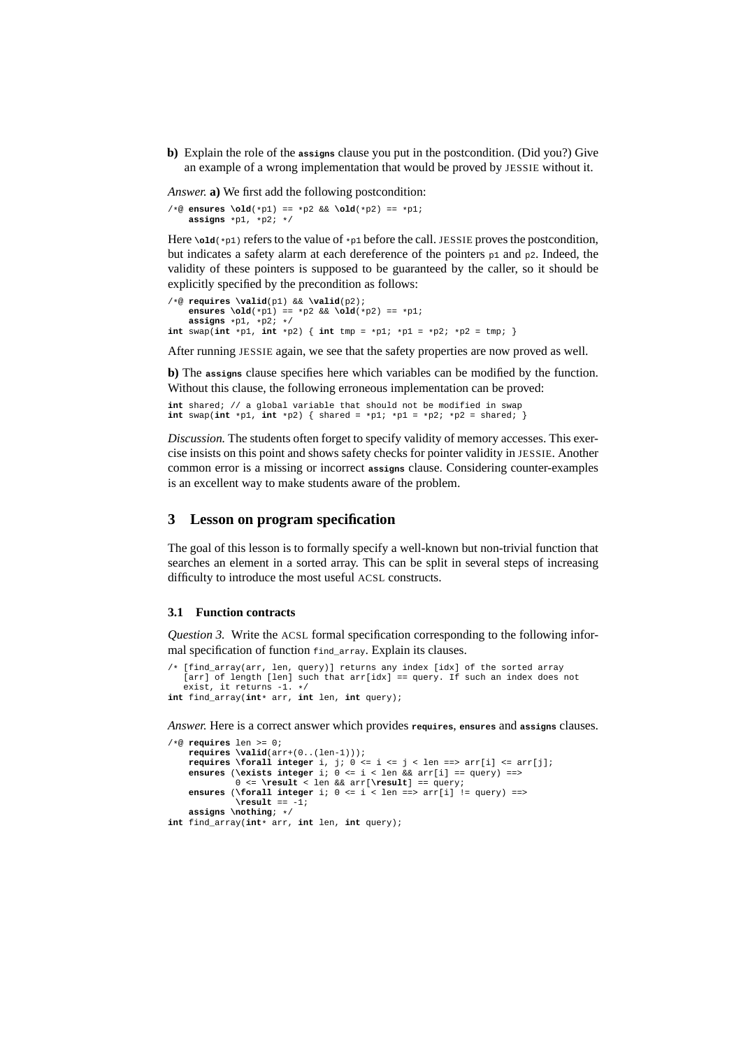**b)** Explain the role of the **assigns** clause you put in the postcondition. (Did you?) Give an example of a wrong implementation that would be proved by JESSIE without it.

*Answer.* **a)** We first add the following postcondition:

/\*@ **ensures \old**(\*p1) == \*p2 && **\old**(\*p2) == \*p1; **assigns** \*p1, \*p2; \*/

Here  $\delta$ **1d**( $\star$ p1) refers to the value of  $\star$ <sub>p1</sub> before the call. JESSIE proves the postcondition, but indicates a safety alarm at each dereference of the pointers  $p_1$  and  $p_2$ . Indeed, the validity of these pointers is supposed to be guaranteed by the caller, so it should be explicitly specified by the precondition as follows:

/\*@ **requires \valid**(p1) && **\valid**(p2); **ensures \old**(\*p1) == \*p2 && **\old**(\*p2) == \*p1; **assigns** \*p1, \*p2; \*/ **int** swap( $\text{int } *p1$ ,  $\text{int } *p2$ ) {  $\text{int }$  tmp =  $*p1$ ;  $*p1 = *p2$ ;  $*p2 = \text{tmp}$ ; }

After running JESSIE again, we see that the safety properties are now proved as well.

**b)** The **assigns** clause specifies here which variables can be modified by the function. Without this clause, the following erroneous implementation can be proved:

**int** shared; // a global variable that should not be modified in swap **int** swap(**int**  $*p1$ , **int**  $*p2$ ) { shared =  $*p1$ ;  $*p1 = *p2$ ;  $*p2 =$  shared; }

*Discussion.* The students often forget to specify validity of memory accesses. This exercise insists on this point and shows safety checks for pointer validity in JESSIE. Another common error is a missing or incorrect **assigns** clause. Considering counter-examples is an excellent way to make students aware of the problem.

## **3 Lesson on program specification**

The goal of this lesson is to formally specify a well-known but non-trivial function that searches an element in a sorted array. This can be split in several steps of increasing difficulty to introduce the most useful ACSL constructs.

#### **3.1 Function contracts**

*Question 3.* Write the ACSL formal specification corresponding to the following informal specification of function find array. Explain its clauses.

```
/* [find_array(arr, len, query)] returns any index [idx] of the sorted array
  [arr] of length [len] such that arr[idx] == query. If such an index does not
  exist, it returns -1. */
int find_array(int* arr, int len, int query);
```
*Answer.* Here is a correct answer which provides **requires**, **ensures** and **assigns** clauses.

```
/*@ requires len >= 0;
     requires \valid(arr+(0..(len-1)));
     requires \forall integer i, j; 0 <= i <= j < len ==> arr[i] <= arr[j];<br>ensures (\exists integer i; 0 <= i < len && arr[i] == query) ==>
                0 <= \result < len && arr[\result] == query;
     ensures (\forall integer i; 0 \le i \le \text{len} ==> \text{arr}[i] != query) ==>
                \text{result} = -1;assigns \nothing; */
int find_array(int* arr, int len, int query);
```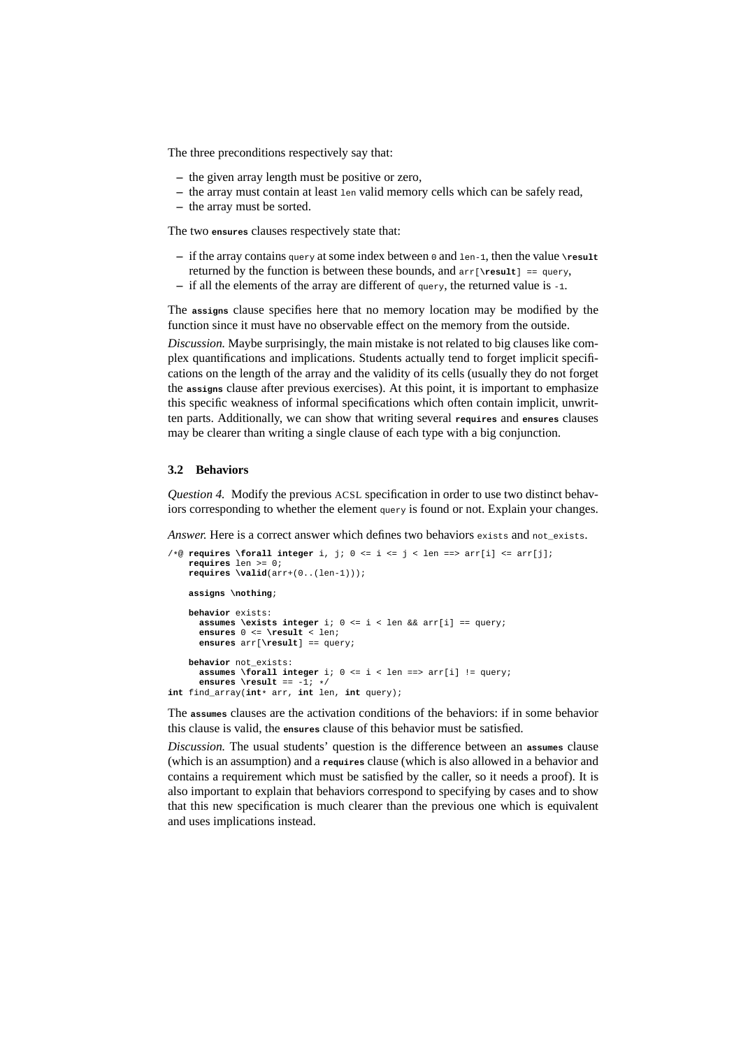The three preconditions respectively say that:

- **–** the given array length must be positive or zero,
- **–** the array must contain at least len valid memory cells which can be safely read,
- **–** the array must be sorted.

The two **ensures** clauses respectively state that:

- **–** if the array contains query at some index between <sup>0</sup> and len-1, then the value **\result** returned by the function is between these bounds, and arr[**\result**] == query,
- **–** if all the elements of the array are different of query, the returned value is -1.

The **assigns** clause specifies here that no memory location may be modified by the function since it must have no observable effect on the memory from the outside.

*Discussion.* Maybe surprisingly, the main mistake is not related to big clauses like complex quantifications and implications. Students actually tend to forget implicit specifications on the length of the array and the validity of its cells (usually they do not forget the **assigns** clause after previous exercises). At this point, it is important to emphasize this specific weakness of informal specifications which often contain implicit, unwritten parts. Additionally, we can show that writing several **requires** and **ensures** clauses may be clearer than writing a single clause of each type with a big conjunction.

## **3.2 Behaviors**

*Question 4.* Modify the previous ACSL specification in order to use two distinct behaviors corresponding to whether the element query is found or not. Explain your changes.

*Answer.* Here is a correct answer which defines two behaviors exists and not\_exists.

```
/*
e requires \forall integer i, j; 0 <= i <= j < len ==> \arr[i] <= \arr[j];
    requires len >= 0;
    requires \valid(arr+(0..(len-1)));
    assigns \nothing;
   behavior exists:
      assumes \exists integer i; 0 <= i < len && arr[i] == query;
      ensures 0 <= \result < len;
      ensures arr[\result] == query;
    behavior not_exists:
      assumes \forall integer i; 0 <= i < len ==> arr[i] != query;
      ensures \text{result} == -1; *int find_array(int* arr, int len, int query);
```
The **assumes** clauses are the activation conditions of the behaviors: if in some behavior this clause is valid, the **ensures** clause of this behavior must be satisfied.

*Discussion.* The usual students' question is the difference between an **assumes** clause (which is an assumption) and a **requires** clause (which is also allowed in a behavior and contains a requirement which must be satisfied by the caller, so it needs a proof). It is also important to explain that behaviors correspond to specifying by cases and to show that this new specification is much clearer than the previous one which is equivalent and uses implications instead.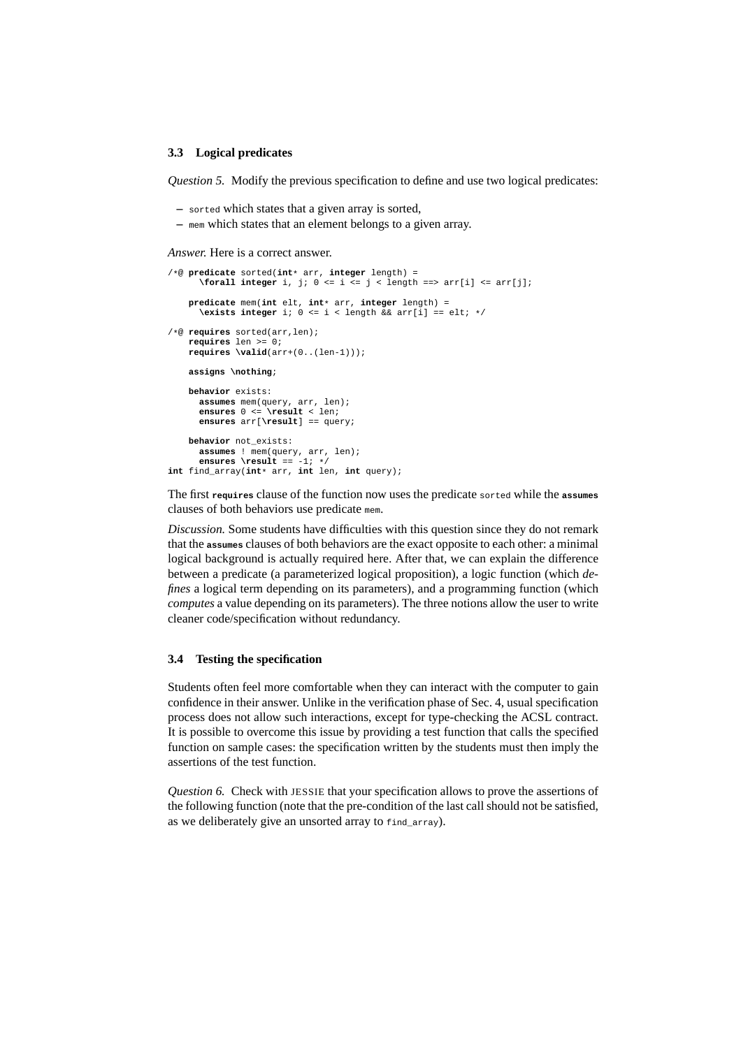#### **3.3 Logical predicates**

*Question 5.* Modify the previous specification to define and use two logical predicates:

- **–** sorted which states that a given array is sorted,
- **–** mem which states that an element belongs to a given array.

*Answer.* Here is a correct answer.

```
/*@ predicate sorted(int* arr, integer length) =
       \forall integer i, j; 0 <= i <= j < length ==> arr[i] <= arr[j];
    predicate mem(int elt, int* arr, integer length) =
      \exists integer i; 0 <= i < length && arr[i] == elt; */
/*@ requires sorted(arr,len);
    requires len >= 0;
    requires \valid(arr+(0..(len-1)));
    assigns \nothing;
    behavior exists:
      assumes mem(query, arr, len);<br>ensures 0 \le \text{result} \le \text{len};\result < len;
      ensures arr[\result] == query;
    behavior not_exists:
       assumes ! mem(query, arr, len);
ensures \result == -1; */
int find_array(int* arr, int len, int query);
```
The first **requires** clause of the function now uses the predicate sorted while the **assumes** clauses of both behaviors use predicate mem.

*Discussion.* Some students have difficulties with this question since they do not remark that the **assumes** clauses of both behaviors are the exact opposite to each other: a minimal logical background is actually required here. After that, we can explain the difference between a predicate (a parameterized logical proposition), a logic function (which *defines* a logical term depending on its parameters), and a programming function (which *computes* a value depending on its parameters). The three notions allow the user to write cleaner code/specification without redundancy.

## **3.4 Testing the specification**

Students often feel more comfortable when they can interact with the computer to gain confidence in their answer. Unlike in the verification phase of Sec. 4, usual specification process does not allow such interactions, except for type-checking the ACSL contract. It is possible to overcome this issue by providing a test function that calls the specified function on sample cases: the specification written by the students must then imply the assertions of the test function.

*Question 6.* Check with JESSIE that your specification allows to prove the assertions of the following function (note that the pre-condition of the last call should not be satisfied, as we deliberately give an unsorted array to find\_array).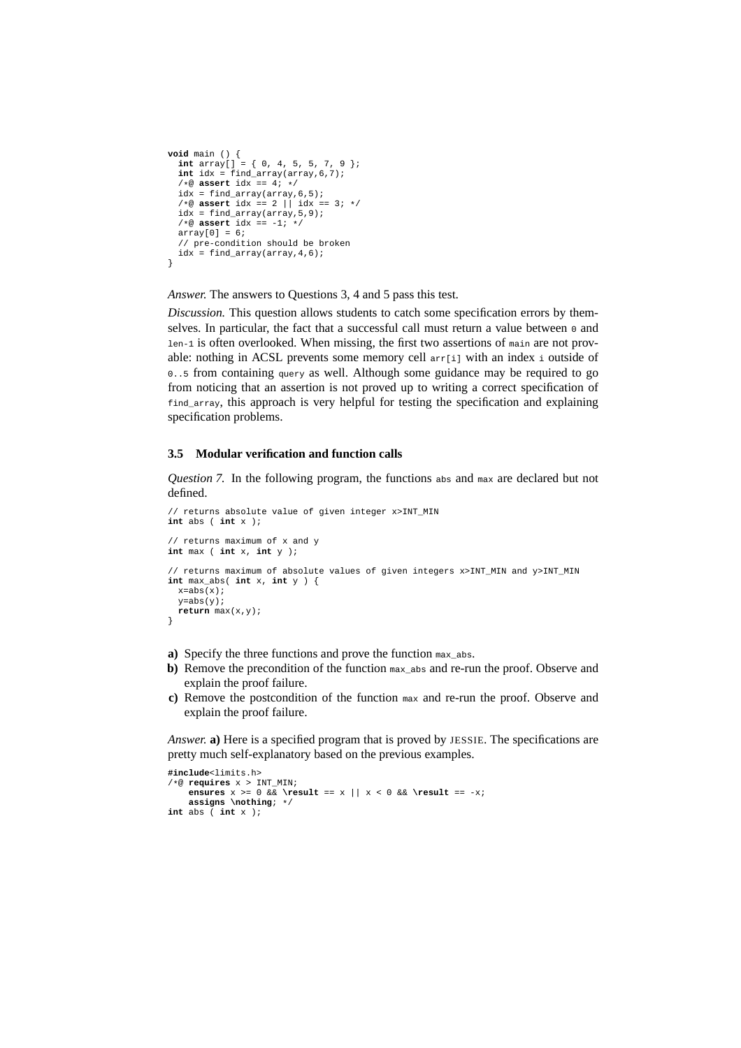```
void main () {
  int array[] = \{ 0, 4, 5, 5, 7, 9 \};
  int idx = find_array(array,6,7);
  /*@ assert idx == 4; */
  idx = find\_array(array, 6, 5);/*@ assert idx == 2 || idx == 3; */
  idx = find\_array(array, 5, 9);/*@ assert idx == -1; */
  array[0] = 6;// pre-condition should be broken
  idx = find_array(array,4,6);
}
```
*Answer.* The answers to Questions 3, 4 and 5 pass this test.

*Discussion.* This question allows students to catch some specification errors by themselves. In particular, the fact that a successful call must return a value between  $\circ$  and len-1 is often overlooked. When missing, the first two assertions of main are not provable: nothing in ACSL prevents some memory cell  $\arctan i$  with an index i outside of 0..5 from containing query as well. Although some guidance may be required to go from noticing that an assertion is not proved up to writing a correct specification of find\_array, this approach is very helpful for testing the specification and explaining specification problems.

#### **3.5 Modular verification and function calls**

*Question 7.* In the following program, the functions abs and max are declared but not defined.

```
// returns absolute value of given integer x>INT_MIN
int abs ( int x );
// returns maximum of x and y
int max ( int x, int y );
// returns maximum of absolute values of given integers x>INT_MIN and y>INT_MIN
int max_abs( int x, int y ) {
 x = abs(x);y=abs(y);
 return max(x,y);
}
```
- **a)** Specify the three functions and prove the function max\_abs.
- **b**) Remove the precondition of the function  $max_{\text{abs}}$  and re-run the proof. Observe and explain the proof failure.
- **c)** Remove the postcondition of the function max and re-run the proof. Observe and explain the proof failure.

*Answer.* **a)** Here is a specified program that is proved by JESSIE. The specifications are pretty much self-explanatory based on the previous examples.

```
#include<limits.h>
/*@ requires x > INT_MIN;
    ensures x \ge 0 && \result == x \mid x \le 0 && \result == -x;
    assigns \nothing; */
int abs ( int x );
```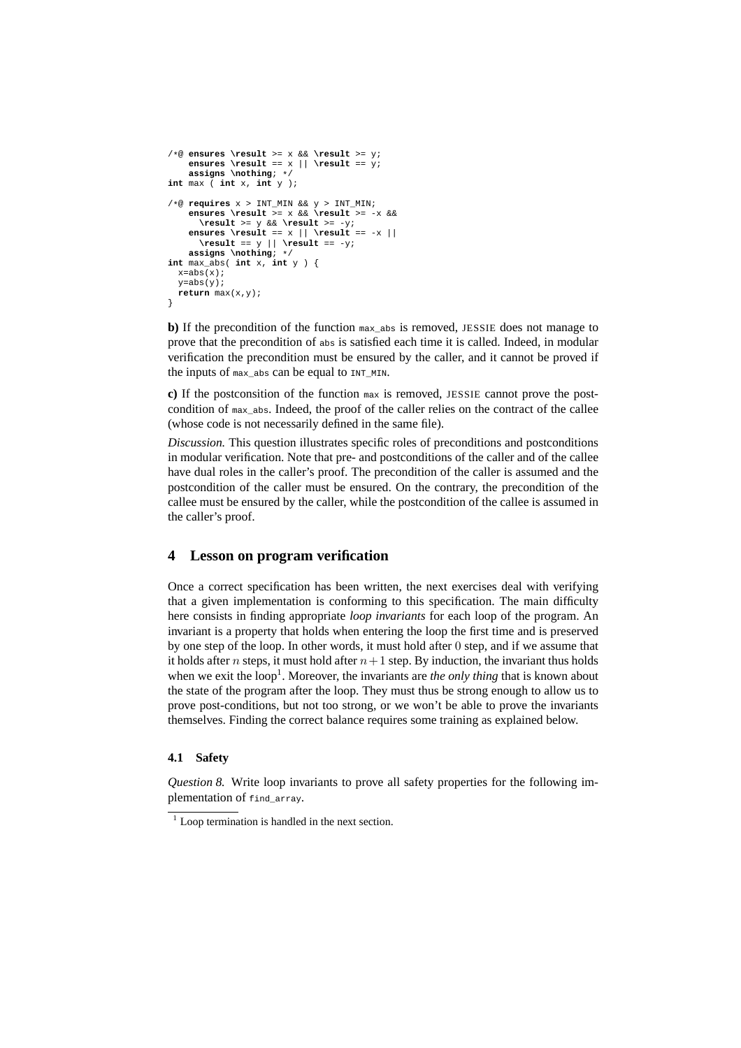```
/*@ ensures \result >= x && \result >= y;
    ensures \result == x || \result == y;
    assigns \nothing; */
int max ( int x, int y );
/*@ requires x > INT MIN && y > INT MIN;
    ensures \result >= x && \result >= -x &&
      \result >= y && \result >= -y;
    ensures \result == x || \result == -x ||
      \result == y || \result == -y;
assigns \nothing; */
int max_abs( int x, int y ) {
  x=abs(x);v=abs(v);return max(x,y);
}
```
**b**) If the precondition of the function  $max_{\text{abs}}$  is removed, JESSIE does not manage to prove that the precondition of abs is satisfied each time it is called. Indeed, in modular verification the precondition must be ensured by the caller, and it cannot be proved if the inputs of max\_abs can be equal to INT\_MIN.

**c**) If the postconsition of the function max is removed, JESSIE cannot prove the postcondition of  $max_{\text{ads}}$ . Indeed, the proof of the caller relies on the contract of the callee (whose code is not necessarily defined in the same file).

*Discussion.* This question illustrates specific roles of preconditions and postconditions in modular verification. Note that pre- and postconditions of the caller and of the callee have dual roles in the caller's proof. The precondition of the caller is assumed and the postcondition of the caller must be ensured. On the contrary, the precondition of the callee must be ensured by the caller, while the postcondition of the callee is assumed in the caller's proof.

## **4 Lesson on program verification**

Once a correct specification has been written, the next exercises deal with verifying that a given implementation is conforming to this specification. The main difficulty here consists in finding appropriate *loop invariants* for each loop of the program. An invariant is a property that holds when entering the loop the first time and is preserved by one step of the loop. In other words, it must hold after 0 step, and if we assume that it holds after n steps, it must hold after  $n+1$  step. By induction, the invariant thus holds when we exit the loop<sup>1</sup>. Moreover, the invariants are *the only thing* that is known about the state of the program after the loop. They must thus be strong enough to allow us to prove post-conditions, but not too strong, or we won't be able to prove the invariants themselves. Finding the correct balance requires some training as explained below.

#### **4.1 Safety**

*Question 8.* Write loop invariants to prove all safety properties for the following implementation of find array.

 $1$  Loop termination is handled in the next section.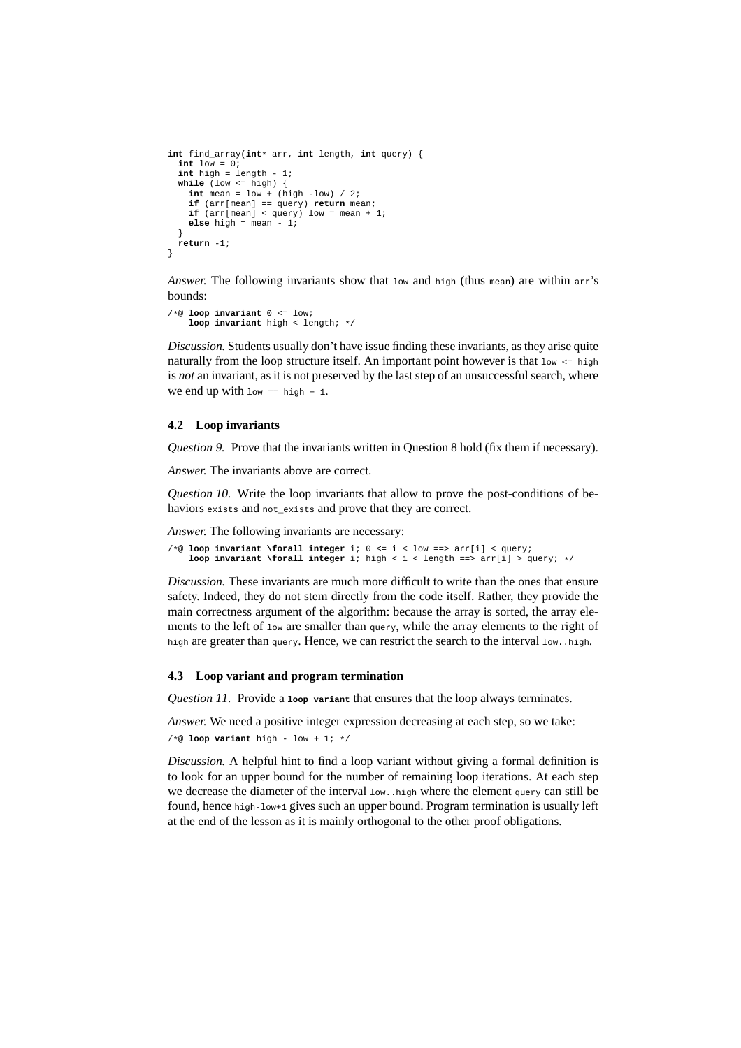```
int find_array(int* arr, int length, int query) {
  int low = 0;
  int high = length - 1;
  while (low <= high) {
   int mean = low + (high -low) / 2;
    if (arr[mean] == query) return mean;
    if (arr[mean] < query) low = mean + 1;
    else high = mean - 1;
  }
 return -1;
}
```
*Answer.* The following invariants show that low and high (thus mean) are within arr's bounds:

```
/*@ loop invariant 0 <= low;
   loop invariant high < length; */
```
*Discussion.* Students usually don't have issue finding these invariants, as they arise quite naturally from the loop structure itself. An important point however is that  $_{\text{low} \leq \text{high}}$ is *not* an invariant, as it is not preserved by the last step of an unsuccessful search, where we end up with  $low == high + 1$ .

#### **4.2 Loop invariants**

*Question 9.* Prove that the invariants written in Question 8 hold (fix them if necessary).

*Answer.* The invariants above are correct.

*Question 10.* Write the loop invariants that allow to prove the post-conditions of behaviors exists and not\_exists and prove that they are correct.

*Answer.* The following invariants are necessary:

/\*@ **loop invariant \forall integer** i; 0 <= i < low ==> arr[i] < query; **loop invariant \forall integer** i; high < i < length ==> arr[i] > query; \*/

*Discussion.* These invariants are much more difficult to write than the ones that ensure safety. Indeed, they do not stem directly from the code itself. Rather, they provide the main correctness argument of the algorithm: because the array is sorted, the array elements to the left of  $_{10w}$  are smaller than  $_{query}$ , while the array elements to the right of high are greater than query. Hence, we can restrict the search to the interval low. high.

#### **4.3 Loop variant and program termination**

*Question 11.* Provide a **loop variant** that ensures that the loop always terminates.

*Answer.* We need a positive integer expression decreasing at each step, so we take:

/\*@ **loop variant** high - low + 1; \*/

*Discussion.* A helpful hint to find a loop variant without giving a formal definition is to look for an upper bound for the number of remaining loop iterations. At each step we decrease the diameter of the interval  $_{\text{low...high}}$  where the element  $_{\text{query}}$  can still be found, hence high-low+1 gives such an upper bound. Program termination is usually left at the end of the lesson as it is mainly orthogonal to the other proof obligations.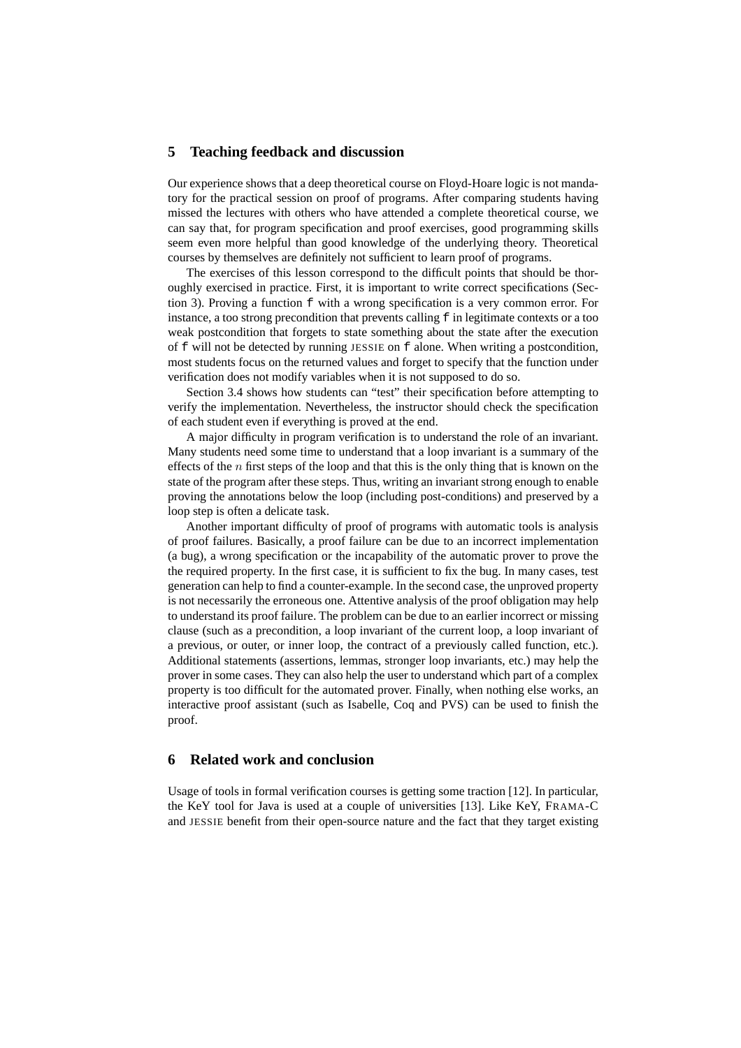## **5 Teaching feedback and discussion**

Our experience shows that a deep theoretical course on Floyd-Hoare logic is not mandatory for the practical session on proof of programs. After comparing students having missed the lectures with others who have attended a complete theoretical course, we can say that, for program specification and proof exercises, good programming skills seem even more helpful than good knowledge of the underlying theory. Theoretical courses by themselves are definitely not sufficient to learn proof of programs.

The exercises of this lesson correspond to the difficult points that should be thoroughly exercised in practice. First, it is important to write correct specifications (Section 3). Proving a function f with a wrong specification is a very common error. For instance, a too strong precondition that prevents calling  $f$  in legitimate contexts or a too weak postcondition that forgets to state something about the state after the execution of f will not be detected by running JESSIE on f alone. When writing a postcondition, most students focus on the returned values and forget to specify that the function under verification does not modify variables when it is not supposed to do so.

Section 3.4 shows how students can "test" their specification before attempting to verify the implementation. Nevertheless, the instructor should check the specification of each student even if everything is proved at the end.

A major difficulty in program verification is to understand the role of an invariant. Many students need some time to understand that a loop invariant is a summary of the effects of the  $n$  first steps of the loop and that this is the only thing that is known on the state of the program after these steps. Thus, writing an invariant strong enough to enable proving the annotations below the loop (including post-conditions) and preserved by a loop step is often a delicate task.

Another important difficulty of proof of programs with automatic tools is analysis of proof failures. Basically, a proof failure can be due to an incorrect implementation (a bug), a wrong specification or the incapability of the automatic prover to prove the the required property. In the first case, it is sufficient to fix the bug. In many cases, test generation can help to find a counter-example. In the second case, the unproved property is not necessarily the erroneous one. Attentive analysis of the proof obligation may help to understand its proof failure. The problem can be due to an earlier incorrect or missing clause (such as a precondition, a loop invariant of the current loop, a loop invariant of a previous, or outer, or inner loop, the contract of a previously called function, etc.). Additional statements (assertions, lemmas, stronger loop invariants, etc.) may help the prover in some cases. They can also help the user to understand which part of a complex property is too difficult for the automated prover. Finally, when nothing else works, an interactive proof assistant (such as Isabelle, Coq and PVS) can be used to finish the proof.

## **6 Related work and conclusion**

Usage of tools in formal verification courses is getting some traction [12]. In particular, the KeY tool for Java is used at a couple of universities [13]. Like KeY, FRAMA-C and JESSIE benefit from their open-source nature and the fact that they target existing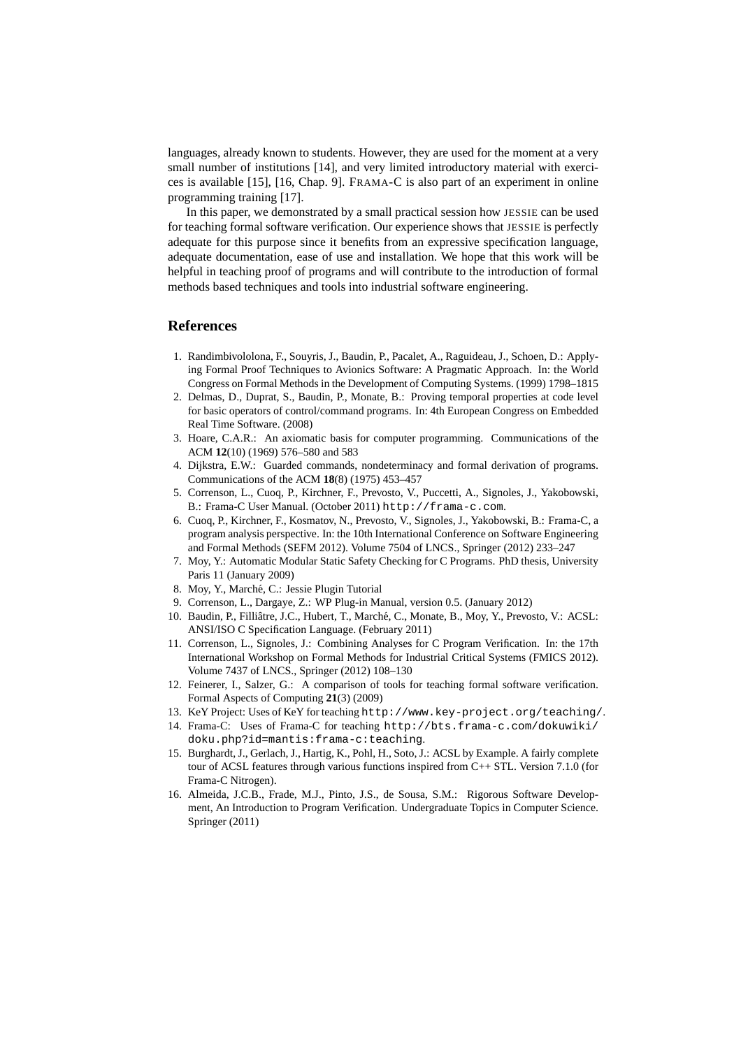languages, already known to students. However, they are used for the moment at a very small number of institutions [14], and very limited introductory material with exercices is available [15], [16, Chap. 9]. FRAMA-C is also part of an experiment in online programming training [17].

In this paper, we demonstrated by a small practical session how JESSIE can be used for teaching formal software verification. Our experience shows that JESSIE is perfectly adequate for this purpose since it benefits from an expressive specification language, adequate documentation, ease of use and installation. We hope that this work will be helpful in teaching proof of programs and will contribute to the introduction of formal methods based techniques and tools into industrial software engineering.

# **References**

- 1. Randimbivololona, F., Souyris, J., Baudin, P., Pacalet, A., Raguideau, J., Schoen, D.: Applying Formal Proof Techniques to Avionics Software: A Pragmatic Approach. In: the World Congress on Formal Methods in the Development of Computing Systems. (1999) 1798–1815
- 2. Delmas, D., Duprat, S., Baudin, P., Monate, B.: Proving temporal properties at code level for basic operators of control/command programs. In: 4th European Congress on Embedded Real Time Software. (2008)
- 3. Hoare, C.A.R.: An axiomatic basis for computer programming. Communications of the ACM **12**(10) (1969) 576–580 and 583
- 4. Dijkstra, E.W.: Guarded commands, nondeterminacy and formal derivation of programs. Communications of the ACM **18**(8) (1975) 453–457
- 5. Correnson, L., Cuoq, P., Kirchner, F., Prevosto, V., Puccetti, A., Signoles, J., Yakobowski, B.: Frama-C User Manual. (October 2011) http://frama-c.com.
- 6. Cuoq, P., Kirchner, F., Kosmatov, N., Prevosto, V., Signoles, J., Yakobowski, B.: Frama-C, a program analysis perspective. In: the 10th International Conference on Software Engineering and Formal Methods (SEFM 2012). Volume 7504 of LNCS., Springer (2012) 233–247
- 7. Moy, Y.: Automatic Modular Static Safety Checking for C Programs. PhD thesis, University Paris 11 (January 2009)
- 8. Moy, Y., Marché, C.: Jessie Plugin Tutorial
- 9. Correnson, L., Dargaye, Z.: WP Plug-in Manual, version 0.5. (January 2012)
- 10. Baudin, P., Filliâtre, J.C., Hubert, T., Marché, C., Monate, B., Moy, Y., Prevosto, V.: ACSL: ANSI/ISO C Specification Language. (February 2011)
- 11. Correnson, L., Signoles, J.: Combining Analyses for C Program Verification. In: the 17th International Workshop on Formal Methods for Industrial Critical Systems (FMICS 2012). Volume 7437 of LNCS., Springer (2012) 108–130
- 12. Feinerer, I., Salzer, G.: A comparison of tools for teaching formal software verification. Formal Aspects of Computing **21**(3) (2009)
- 13. KeY Project: Uses of KeY for teaching http://www.key-project.org/teaching/.
- 14. Frama-C: Uses of Frama-C for teaching http://bts.frama-c.com/dokuwiki/ doku.php?id=mantis:frama-c:teaching.
- 15. Burghardt, J., Gerlach, J., Hartig, K., Pohl, H., Soto, J.: ACSL by Example. A fairly complete tour of ACSL features through various functions inspired from C++ STL. Version 7.1.0 (for Frama-C Nitrogen).
- 16. Almeida, J.C.B., Frade, M.J., Pinto, J.S., de Sousa, S.M.: Rigorous Software Development, An Introduction to Program Verification. Undergraduate Topics in Computer Science. Springer (2011)